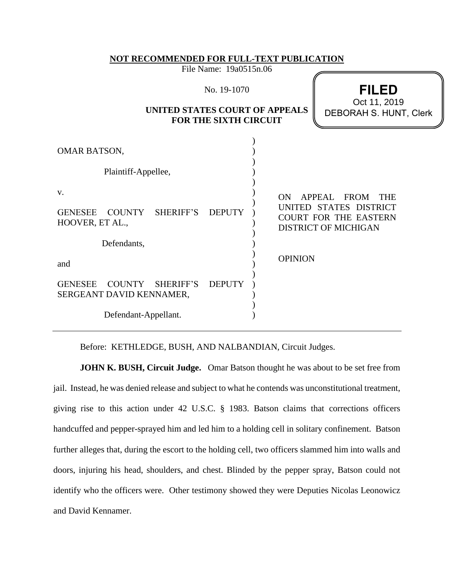#### **NOT RECOMMENDED FOR FULL-TEXT PUBLICATION**

File Name: 19a0515n.06

| No. 19-1070 |  |  |
|-------------|--|--|
|-------------|--|--|

# **UNITED STATES COURT OF APPEALS FOR THE SIXTH CIRCUIT**

**FILED** DEBORAH S. HUNT, Clerk Oct 11, 2019

| <b>OMAR BATSON,</b>                                                        |               |                                                                                                                          |
|----------------------------------------------------------------------------|---------------|--------------------------------------------------------------------------------------------------------------------------|
| Plaintiff-Appellee,                                                        |               |                                                                                                                          |
| V.<br>COUNTY SHERIFF'S<br><b>GENESEE</b><br>HOOVER, ET AL.,<br>Defendants, | <b>DEPUTY</b> | APPEAL FROM<br>ON<br><b>THE</b><br>UNITED STATES DISTRICT<br><b>COURT FOR THE EASTERN</b><br><b>DISTRICT OF MICHIGAN</b> |
| and                                                                        |               | <b>OPINION</b>                                                                                                           |
| COUNTY<br><b>GENESEE</b><br>SHERIFF'S<br>SERGEANT DAVID KENNAMER,          | <b>DEPUTY</b> |                                                                                                                          |
| Defendant-Appellant.                                                       |               |                                                                                                                          |

Before: KETHLEDGE, BUSH, AND NALBANDIAN, Circuit Judges.

**JOHN K. BUSH, Circuit Judge.** Omar Batson thought he was about to be set free from jail. Instead, he was denied release and subject to what he contends was unconstitutional treatment, giving rise to this action under 42 U.S.C. § 1983. Batson claims that corrections officers handcuffed and pepper-sprayed him and led him to a holding cell in solitary confinement. Batson further alleges that, during the escort to the holding cell, two officers slammed him into walls and doors, injuring his head, shoulders, and chest. Blinded by the pepper spray, Batson could not identify who the officers were. Other testimony showed they were Deputies Nicolas Leonowicz and David Kennamer.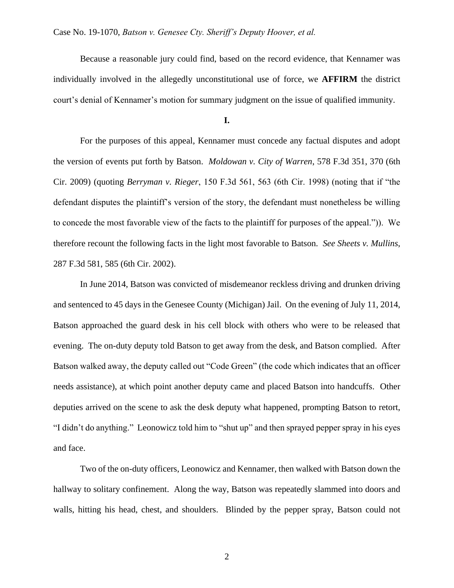Because a reasonable jury could find, based on the record evidence, that Kennamer was individually involved in the allegedly unconstitutional use of force, we **AFFIRM** the district court's denial of Kennamer's motion for summary judgment on the issue of qualified immunity.

**I.**

For the purposes of this appeal, Kennamer must concede any factual disputes and adopt the version of events put forth by Batson. *Moldowan v. City of Warren*, 578 F.3d 351, 370 (6th Cir. 2009) (quoting *Berryman v. Rieger*, 150 F.3d 561, 563 (6th Cir. 1998) (noting that if "the defendant disputes the plaintiff's version of the story, the defendant must nonetheless be willing to concede the most favorable view of the facts to the plaintiff for purposes of the appeal.")). We therefore recount the following facts in the light most favorable to Batson. *See Sheets v. Mullins*, 287 F.3d 581, 585 (6th Cir. 2002).

In June 2014, Batson was convicted of misdemeanor reckless driving and drunken driving and sentenced to 45 days in the Genesee County (Michigan) Jail. On the evening of July 11, 2014, Batson approached the guard desk in his cell block with others who were to be released that evening. The on-duty deputy told Batson to get away from the desk, and Batson complied. After Batson walked away, the deputy called out "Code Green" (the code which indicates that an officer needs assistance), at which point another deputy came and placed Batson into handcuffs. Other deputies arrived on the scene to ask the desk deputy what happened, prompting Batson to retort, "I didn't do anything." Leonowicz told him to "shut up" and then sprayed pepper spray in his eyes and face.

Two of the on-duty officers, Leonowicz and Kennamer, then walked with Batson down the hallway to solitary confinement. Along the way, Batson was repeatedly slammed into doors and walls, hitting his head, chest, and shoulders. Blinded by the pepper spray, Batson could not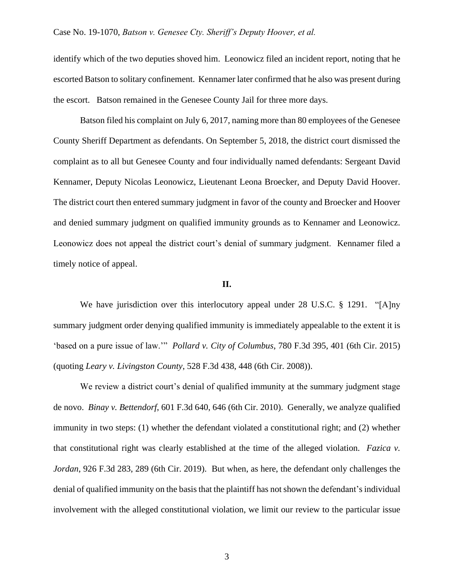identify which of the two deputies shoved him. Leonowicz filed an incident report, noting that he escorted Batson to solitary confinement. Kennamer later confirmed that he also was present during the escort. Batson remained in the Genesee County Jail for three more days.

Batson filed his complaint on July 6, 2017, naming more than 80 employees of the Genesee County Sheriff Department as defendants. On September 5, 2018, the district court dismissed the complaint as to all but Genesee County and four individually named defendants: Sergeant David Kennamer, Deputy Nicolas Leonowicz, Lieutenant Leona Broecker, and Deputy David Hoover. The district court then entered summary judgment in favor of the county and Broecker and Hoover and denied summary judgment on qualified immunity grounds as to Kennamer and Leonowicz. Leonowicz does not appeal the district court's denial of summary judgment. Kennamer filed a timely notice of appeal.

#### **II.**

We have jurisdiction over this interlocutory appeal under 28 U.S.C. § 1291. "[A]ny summary judgment order denying qualified immunity is immediately appealable to the extent it is 'based on a pure issue of law.'" *Pollard v. City of Columbus*, 780 F.3d 395, 401 (6th Cir. 2015) (quoting *Leary v. Livingston County*, 528 F.3d 438, 448 (6th Cir. 2008)).

We review a district court's denial of qualified immunity at the summary judgment stage de novo. *Binay v. Bettendorf*, 601 F.3d 640, 646 (6th Cir. 2010). Generally, we analyze qualified immunity in two steps: (1) whether the defendant violated a constitutional right; and (2) whether that constitutional right was clearly established at the time of the alleged violation. *Fazica v. Jordan*, 926 F.3d 283, 289 (6th Cir. 2019). But when, as here, the defendant only challenges the denial of qualified immunity on the basis that the plaintiff has not shown the defendant's individual involvement with the alleged constitutional violation, we limit our review to the particular issue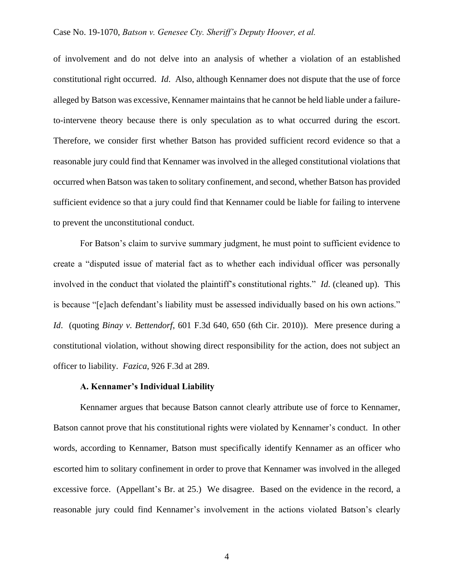of involvement and do not delve into an analysis of whether a violation of an established constitutional right occurred. *Id*. Also, although Kennamer does not dispute that the use of force alleged by Batson was excessive, Kennamer maintains that he cannot be held liable under a failureto-intervene theory because there is only speculation as to what occurred during the escort. Therefore, we consider first whether Batson has provided sufficient record evidence so that a reasonable jury could find that Kennamer was involved in the alleged constitutional violations that occurred when Batson was taken to solitary confinement, and second, whether Batson has provided sufficient evidence so that a jury could find that Kennamer could be liable for failing to intervene to prevent the unconstitutional conduct.

For Batson's claim to survive summary judgment, he must point to sufficient evidence to create a "disputed issue of material fact as to whether each individual officer was personally involved in the conduct that violated the plaintiff's constitutional rights." *Id*. (cleaned up). This is because "[e]ach defendant's liability must be assessed individually based on his own actions." *Id*. (quoting *Binay v. Bettendorf*, 601 F.3d 640, 650 (6th Cir. 2010)). Mere presence during a constitutional violation, without showing direct responsibility for the action, does not subject an officer to liability. *Fazica*, 926 F.3d at 289.

### **A. Kennamer's Individual Liability**

Kennamer argues that because Batson cannot clearly attribute use of force to Kennamer, Batson cannot prove that his constitutional rights were violated by Kennamer's conduct. In other words, according to Kennamer, Batson must specifically identify Kennamer as an officer who escorted him to solitary confinement in order to prove that Kennamer was involved in the alleged excessive force. (Appellant's Br. at 25.) We disagree. Based on the evidence in the record, a reasonable jury could find Kennamer's involvement in the actions violated Batson's clearly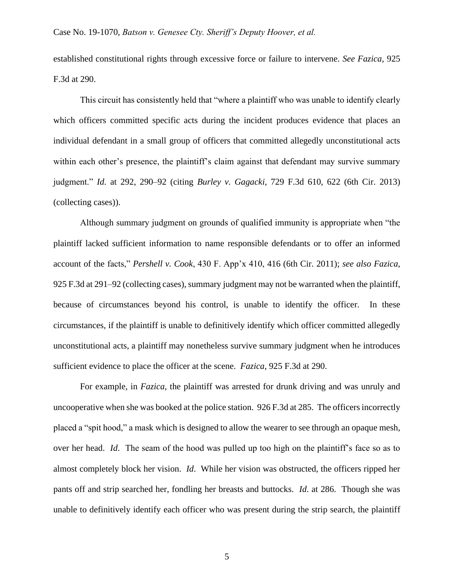established constitutional rights through excessive force or failure to intervene. *See Fazica*, 925 F.3d at 290.

This circuit has consistently held that "where a plaintiff who was unable to identify clearly which officers committed specific acts during the incident produces evidence that places an individual defendant in a small group of officers that committed allegedly unconstitutional acts within each other's presence, the plaintiff's claim against that defendant may survive summary judgment." *Id.* at 292, 290–92 (citing *Burley v. Gagacki*, 729 F.3d 610, 622 (6th Cir. 2013) (collecting cases)).

Although summary judgment on grounds of qualified immunity is appropriate when "the plaintiff lacked sufficient information to name responsible defendants or to offer an informed account of the facts," *Pershell v. Cook*, 430 F. App'x 410, 416 (6th Cir. 2011); *see also Fazica*, 925 F.3d at 291–92 (collecting cases), summary judgment may not be warranted when the plaintiff, because of circumstances beyond his control, is unable to identify the officer. In these circumstances, if the plaintiff is unable to definitively identify which officer committed allegedly unconstitutional acts, a plaintiff may nonetheless survive summary judgment when he introduces sufficient evidence to place the officer at the scene. *Fazica*, 925 F.3d at 290.

For example, in *Fazica*, the plaintiff was arrested for drunk driving and was unruly and uncooperative when she was booked at the police station. 926 F.3d at 285. The officers incorrectly placed a "spit hood," a mask which is designed to allow the wearer to see through an opaque mesh, over her head. *Id*. The seam of the hood was pulled up too high on the plaintiff's face so as to almost completely block her vision. *Id*. While her vision was obstructed, the officers ripped her pants off and strip searched her, fondling her breasts and buttocks. *Id*. at 286. Though she was unable to definitively identify each officer who was present during the strip search, the plaintiff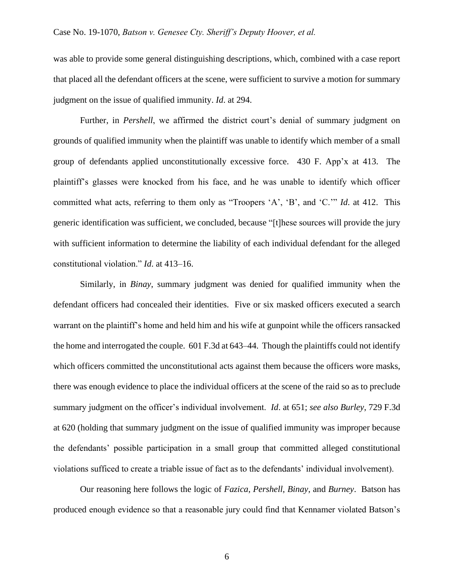was able to provide some general distinguishing descriptions, which, combined with a case report that placed all the defendant officers at the scene, were sufficient to survive a motion for summary judgment on the issue of qualified immunity. *Id*. at 294.

Further, in *Pershell*, we affirmed the district court's denial of summary judgment on grounds of qualified immunity when the plaintiff was unable to identify which member of a small group of defendants applied unconstitutionally excessive force. 430 F. App'x at 413. The plaintiff's glasses were knocked from his face, and he was unable to identify which officer committed what acts, referring to them only as "Troopers 'A', 'B', and 'C.'" *Id*. at 412. This generic identification was sufficient, we concluded, because "[t]hese sources will provide the jury with sufficient information to determine the liability of each individual defendant for the alleged constitutional violation." *Id*. at 413–16.

Similarly, in *Binay*, summary judgment was denied for qualified immunity when the defendant officers had concealed their identities. Five or six masked officers executed a search warrant on the plaintiff's home and held him and his wife at gunpoint while the officers ransacked the home and interrogated the couple. 601 F.3d at 643–44. Though the plaintiffs could not identify which officers committed the unconstitutional acts against them because the officers wore masks, there was enough evidence to place the individual officers at the scene of the raid so as to preclude summary judgment on the officer's individual involvement. *Id*. at 651; *see also Burley*, 729 F.3d at 620 (holding that summary judgment on the issue of qualified immunity was improper because the defendants' possible participation in a small group that committed alleged constitutional violations sufficed to create a triable issue of fact as to the defendants' individual involvement).

Our reasoning here follows the logic of *Fazica*, *Pershell*, *Binay*, and *Burney*. Batson has produced enough evidence so that a reasonable jury could find that Kennamer violated Batson's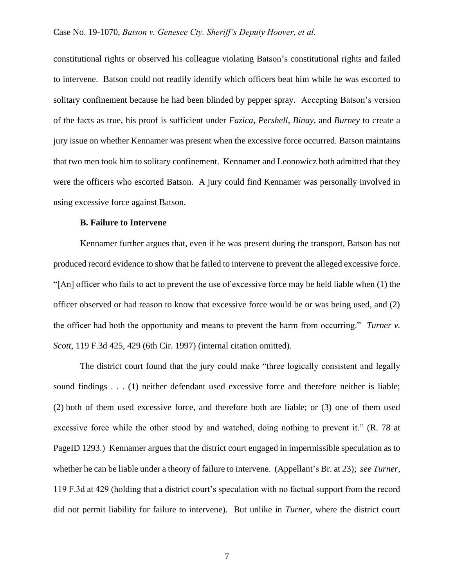constitutional rights or observed his colleague violating Batson's constitutional rights and failed to intervene. Batson could not readily identify which officers beat him while he was escorted to solitary confinement because he had been blinded by pepper spray. Accepting Batson's version of the facts as true, his proof is sufficient under *Fazica*, *Pershell*, *Binay*, and *Burney* to create a jury issue on whether Kennamer was present when the excessive force occurred. Batson maintains that two men took him to solitary confinement. Kennamer and Leonowicz both admitted that they were the officers who escorted Batson. A jury could find Kennamer was personally involved in using excessive force against Batson.

# **B. Failure to Intervene**

Kennamer further argues that, even if he was present during the transport, Batson has not produced record evidence to show that he failed to intervene to prevent the alleged excessive force. "[An] officer who fails to act to prevent the use of excessive force may be held liable when (1) the officer observed or had reason to know that excessive force would be or was being used, and (2) the officer had both the opportunity and means to prevent the harm from occurring." *Turner v. Scott*, 119 F.3d 425, 429 (6th Cir. 1997) (internal citation omitted).

The district court found that the jury could make "three logically consistent and legally sound findings . . . (1) neither defendant used excessive force and therefore neither is liable; (2) both of them used excessive force, and therefore both are liable; or (3) one of them used excessive force while the other stood by and watched, doing nothing to prevent it." (R. 78 at PageID 1293.) Kennamer argues that the district court engaged in impermissible speculation as to whether he can be liable under a theory of failure to intervene. (Appellant's Br. at 23); *see Turner*, 119 F.3d at 429 (holding that a district court's speculation with no factual support from the record did not permit liability for failure to intervene). But unlike in *Turner*, where the district court